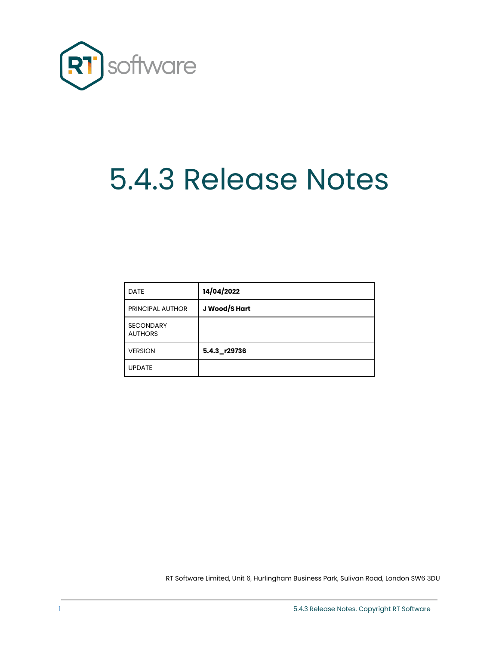

# 5.4.3 Release Notes

| <b>DATE</b>                        | 14/04/2022    |
|------------------------------------|---------------|
| <b>PRINCIPAL AUTHOR</b>            | J Wood/S Hart |
| <b>SECONDARY</b><br><b>AUTHORS</b> |               |
| <b>VERSION</b>                     | 5.4.3 r29736  |
| <b>UPDATE</b>                      |               |

RT Software Limited, Unit 6, Hurlingham Business Park, Sulivan Road, London SW6 3DU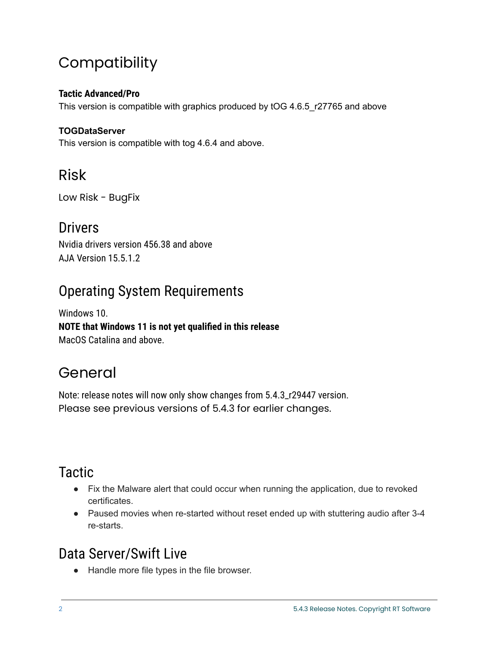# **Compatibility**

### **Tactic Advanced/Pro**

This version is compatible with graphics produced by tOG 4.6.5\_r27765 and above

#### **TOGDataServer**

This version is compatible with tog 4.6.4 and above.

# Risk

Low Risk - BugFix

## **Drivers**

Nvidia drivers version 456.38 and above AJA Version 15.5.1.2

# Operating System Requirements

Windows 10. **NOTE that Windows 11 is not yet qualified in this release** MacOS Catalina and above.

# General

Note: release notes will now only show changes from 5.4.3\_r29447 version. Please see previous versions of 5.4.3 for earlier changes.

# **Tactic**

- Fix the Malware alert that could occur when running the application, due to revoked certificates.
- Paused movies when re-started without reset ended up with stuttering audio after 3-4 re-starts.

# Data Server/Swift Live

● Handle more file types in the file browser.